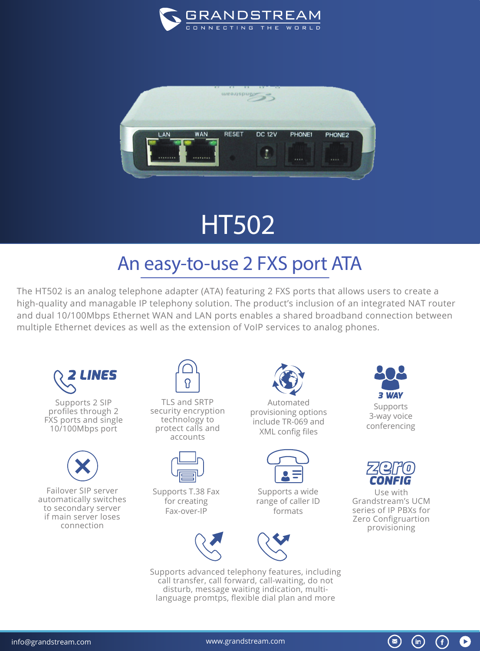



## HT502

## An easy-to-use 2 FXS port ATA

The HT502 is an analog telephone adapter (ATA) featuring 2 FXS ports that allows users to create a high-quality and managable IP telephony solution. The product's inclusion of an integrated NAT router and dual 10/100Mbps Ethernet WAN and LAN ports enables a shared broadband connection between multiple Ethernet devices as well as the extension of VoIP services to analog phones.



Supports 2 SIP profiles through 2 FXS ports and single 10/100Mbps port



Failover SIP server automatically switches to secondary server if main server loses connection



TLS and SRTP security encryption technology to protect calls and accounts



Supports T.38 Fax for creating Fax-over-IP





Supports a wide range of caller ID formats



Supports advanced telephony features, including call transfer, call forward, call-waiting, do not disturb, message waiting indication, multilanguage promtps, flexible dial plan and more





Use with Grandstream's UCM series of IP PBXs for Zero Configruartion provisioning

 $\bigcirc$ 

G)

 $\left( \blacktriangleright \right)$ 

 $(in)$